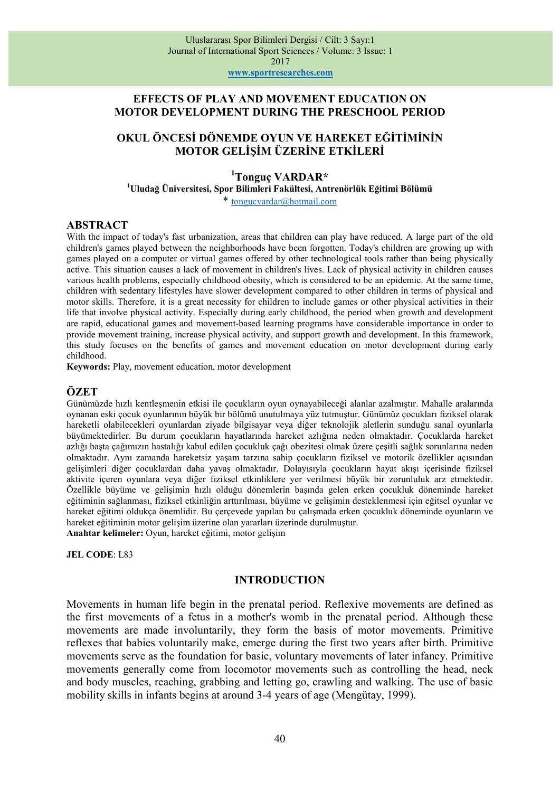www.sportresearches.com

## EFFECTS OF PLAY AND MOVEMENT EDUCATION ON MOTOR DEVELOPMENT DURING THE PRESCHOOL PERIOD

# OKUL ÖNCESİ DÖNEMDE OYUN VE HAREKET EĞİTİMİNİN MOTOR GELİŞİM ÜZERİNE ETKİLERİ

# <sup>1</sup>Tonguc VARDAR\*

<sup>1</sup>Uludağ Üniversitesi, Spor Bilimleri Fakültesi, Antrenörlük Eğitimi Bölümü

\* tongucvardar@hotmail.com

### ABSTRACT

With the impact of today's fast urbanization, areas that children can play have reduced. A large part of the old children's games played between the neighborhoods have been forgotten. Today's children are growing up with games played on a computer or virtual games offered by other technological tools rather than being physically active. This situation causes a lack of movement in children's lives. Lack of physical activity in children causes various health problems, especially childhood obesity, which is considered to be an epidemic. At the same time, children with sedentary lifestyles have slower development compared to other children in terms of physical and motor skills. Therefore, it is a great necessity for children to include games or other physical activities in their life that involve physical activity. Especially during early childhood, the period when growth and development are rapid, educational games and movement-based learning programs have considerable importance in order to provide movement training, increase physical activity, and support growth and development. In this framework, this study focuses on the benefits of games and movement education on motor development during early childhood.

Keywords: Play, movement education, motor development

# ÖZET

Günümüzde hızlı kentleşmenin etkisi ile çocukların oyun oynayabileceği alanlar azalmıştır. Mahalle aralarında oynanan eski çocuk oyunlarının büyük bir bölümü unutulmaya yüz tutmuştur. Günümüz çocukları fiziksel olarak hareketli olabilecekleri oyunlardan ziyade bilgisayar veya diğer teknolojik aletlerin sunduğu sanal oyunlarla büyümektedirler. Bu durum çocukların hayatlarında hareket azlığına neden olmaktadır. Çocuklarda hareket azlığı başta çağımızın hastalığı kabul edilen çocukluk çağı obezitesi olmak üzere çeşitli sağlık sorunlarına neden olmaktadır. Aynı zamanda hareketsiz yaşam tarzına sahip çocukların fiziksel ve motorik özellikler açısından gelişimleri diğer çocuklardan daha yavaş olmaktadır. Dolayısıyla çocukların hayat akışı içerisinde fiziksel aktivite içeren oyunlara veya diğer fiziksel etkinliklere yer verilmesi büyük bir zorunluluk arz etmektedir. Özellikle büyüme ve gelişimin hızlı olduğu dönemlerin başında gelen erken çocukluk döneminde hareket eğitiminin sağlanması, fiziksel etkinliğin arttırılması, büyüme ve gelişimin desteklenmesi için eğitsel oyunlar ve hareket eğitimi oldukça önemlidir. Bu çerçevede yapılan bu çalışmada erken çocukluk döneminde oyunların ve hareket eğitiminin motor gelişim üzerine olan yararları üzerinde durulmuştur. Anahtar kelimeler: Oyun, hareket eğitimi, motor gelişim

JEL CODE: L83

### INTRODUCTION

Movements in human life begin in the prenatal period. Reflexive movements are defined as the first movements of a fetus in a mother's womb in the prenatal period. Although these movements are made involuntarily, they form the basis of motor movements. Primitive reflexes that babies voluntarily make, emerge during the first two years after birth. Primitive movements serve as the foundation for basic, voluntary movements of later infancy. Primitive movements generally come from locomotor movements such as controlling the head, neck and body muscles, reaching, grabbing and letting go, crawling and walking. The use of basic mobility skills in infants begins at around 3-4 years of age (Mengütay, 1999).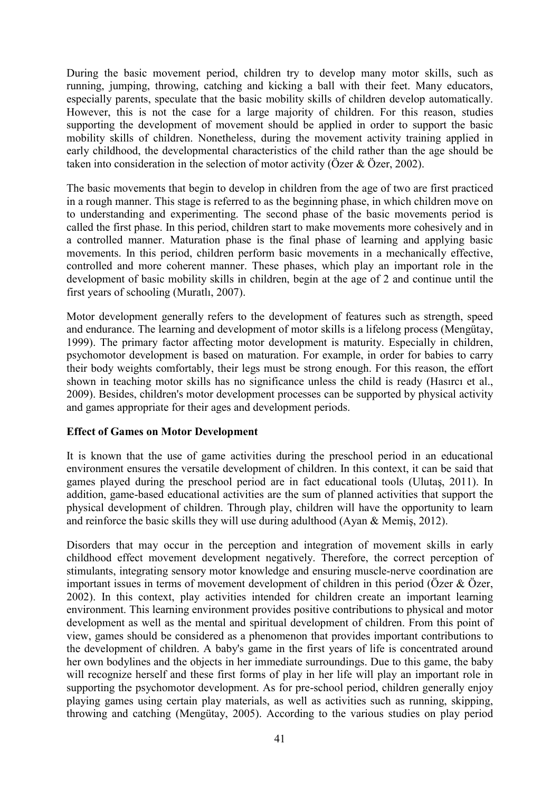During the basic movement period, children try to develop many motor skills, such as running, jumping, throwing, catching and kicking a ball with their feet. Many educators, especially parents, speculate that the basic mobility skills of children develop automatically. However, this is not the case for a large majority of children. For this reason, studies supporting the development of movement should be applied in order to support the basic mobility skills of children. Nonetheless, during the movement activity training applied in early childhood, the developmental characteristics of the child rather than the age should be taken into consideration in the selection of motor activity (Özer & Özer, 2002).

The basic movements that begin to develop in children from the age of two are first practiced in a rough manner. This stage is referred to as the beginning phase, in which children move on to understanding and experimenting. The second phase of the basic movements period is called the first phase. In this period, children start to make movements more cohesively and in a controlled manner. Maturation phase is the final phase of learning and applying basic movements. In this period, children perform basic movements in a mechanically effective, controlled and more coherent manner. These phases, which play an important role in the development of basic mobility skills in children, begin at the age of 2 and continue until the first years of schooling (Muratlı, 2007).

Motor development generally refers to the development of features such as strength, speed and endurance. The learning and development of motor skills is a lifelong process (Mengütay, 1999). The primary factor affecting motor development is maturity. Especially in children, psychomotor development is based on maturation. For example, in order for babies to carry their body weights comfortably, their legs must be strong enough. For this reason, the effort shown in teaching motor skills has no significance unless the child is ready (Hasırcı et al., 2009). Besides, children's motor development processes can be supported by physical activity and games appropriate for their ages and development periods.

## Effect of Games on Motor Development

It is known that the use of game activities during the preschool period in an educational environment ensures the versatile development of children. In this context, it can be said that games played during the preschool period are in fact educational tools (Ulutaş, 2011). In addition, game-based educational activities are the sum of planned activities that support the physical development of children. Through play, children will have the opportunity to learn and reinforce the basic skills they will use during adulthood (Ayan & Memiş, 2012).

Disorders that may occur in the perception and integration of movement skills in early childhood effect movement development negatively. Therefore, the correct perception of stimulants, integrating sensory motor knowledge and ensuring muscle-nerve coordination are important issues in terms of movement development of children in this period (Özer & Özer, 2002). In this context, play activities intended for children create an important learning environment. This learning environment provides positive contributions to physical and motor development as well as the mental and spiritual development of children. From this point of view, games should be considered as a phenomenon that provides important contributions to the development of children. A baby's game in the first years of life is concentrated around her own bodylines and the objects in her immediate surroundings. Due to this game, the baby will recognize herself and these first forms of play in her life will play an important role in supporting the psychomotor development. As for pre-school period, children generally enjoy playing games using certain play materials, as well as activities such as running, skipping, throwing and catching (Mengütay, 2005). According to the various studies on play period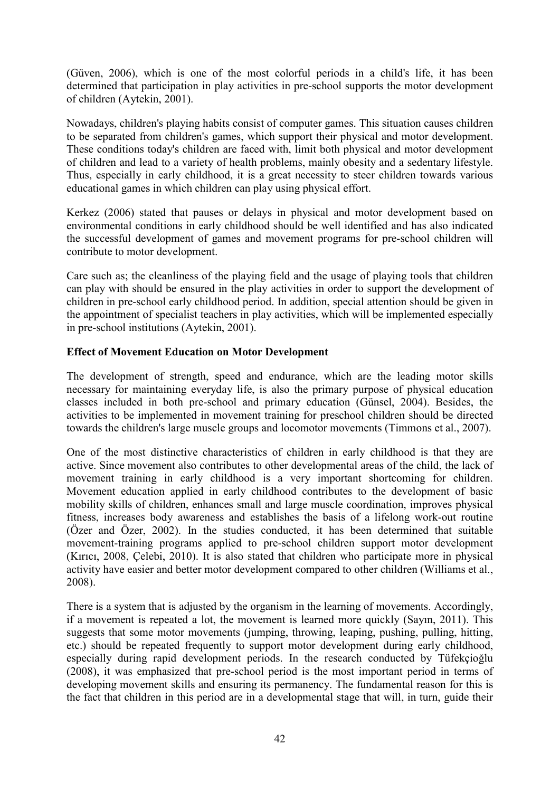(Güven, 2006), which is one of the most colorful periods in a child's life, it has been determined that participation in play activities in pre-school supports the motor development of children (Aytekin, 2001).

Nowadays, children's playing habits consist of computer games. This situation causes children to be separated from children's games, which support their physical and motor development. These conditions today's children are faced with, limit both physical and motor development of children and lead to a variety of health problems, mainly obesity and a sedentary lifestyle. Thus, especially in early childhood, it is a great necessity to steer children towards various educational games in which children can play using physical effort.

Kerkez (2006) stated that pauses or delays in physical and motor development based on environmental conditions in early childhood should be well identified and has also indicated the successful development of games and movement programs for pre-school children will contribute to motor development.

Care such as; the cleanliness of the playing field and the usage of playing tools that children can play with should be ensured in the play activities in order to support the development of children in pre-school early childhood period. In addition, special attention should be given in the appointment of specialist teachers in play activities, which will be implemented especially in pre-school institutions (Aytekin, 2001).

## Effect of Movement Education on Motor Development

The development of strength, speed and endurance, which are the leading motor skills necessary for maintaining everyday life, is also the primary purpose of physical education classes included in both pre-school and primary education (Günsel, 2004). Besides, the activities to be implemented in movement training for preschool children should be directed towards the children's large muscle groups and locomotor movements (Timmons et al., 2007).

One of the most distinctive characteristics of children in early childhood is that they are active. Since movement also contributes to other developmental areas of the child, the lack of movement training in early childhood is a very important shortcoming for children. Movement education applied in early childhood contributes to the development of basic mobility skills of children, enhances small and large muscle coordination, improves physical fitness, increases body awareness and establishes the basis of a lifelong work-out routine (Özer and Özer, 2002). In the studies conducted, it has been determined that suitable movement-training programs applied to pre-school children support motor development (Kırıcı, 2008, Çelebi, 2010). It is also stated that children who participate more in physical activity have easier and better motor development compared to other children (Williams et al., 2008).

There is a system that is adjusted by the organism in the learning of movements. Accordingly, if a movement is repeated a lot, the movement is learned more quickly (Sayın, 2011). This suggests that some motor movements (jumping, throwing, leaping, pushing, pulling, hitting, etc.) should be repeated frequently to support motor development during early childhood, especially during rapid development periods. In the research conducted by Tüfekçioğlu (2008), it was emphasized that pre-school period is the most important period in terms of developing movement skills and ensuring its permanency. The fundamental reason for this is the fact that children in this period are in a developmental stage that will, in turn, guide their